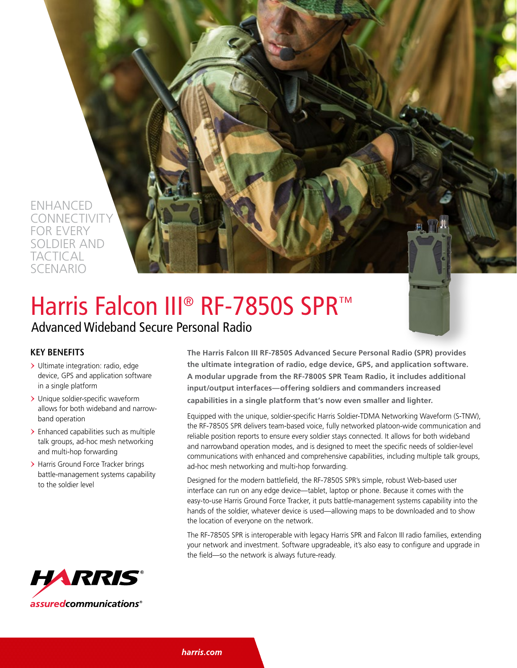

# Harris Falcon III<sup>®</sup> RF-7850S SPR™

## Advanced Wideband Secure Personal Radio

#### **KEY BENEFITS**

- > Ultimate integration: radio, edge device, GPS and application software in a single platform
- > Unique soldier-specific waveform allows for both wideband and narrowband operation
- > Enhanced capabilities such as multiple talk groups, ad-hoc mesh networking and multi-hop forwarding
- > Harris Ground Force Tracker brings battle-management systems capability to the soldier level

**The Harris Falcon III RF-7850S Advanced Secure Personal Radio (SPR) provides the ultimate integration of radio, edge device, GPS, and application software. A modular upgrade from the RF-7800S SPR Team Radio, it includes additional input/output interfaces—offering soldiers and commanders increased capabilities in a single platform that's now even smaller and lighter.** 

Equipped with the unique, soldier-specific Harris Soldier-TDMA Networking Waveform (S-TNW), the RF-7850S SPR delivers team-based voice, fully networked platoon-wide communication and reliable position reports to ensure every soldier stays connected. It allows for both wideband and narrowband operation modes, and is designed to meet the specific needs of soldier-level communications with enhanced and comprehensive capabilities, including multiple talk groups, ad-hoc mesh networking and multi-hop forwarding.

Designed for the modern battlefield, the RF-7850S SPR's simple, robust Web-based user interface can run on any edge device—tablet, laptop or phone. Because it comes with the easy-to-use Harris Ground Force Tracker, it puts battle-management systems capability into the hands of the soldier, whatever device is used—allowing maps to be downloaded and to show the location of everyone on the network.

The RF-7850S SPR is interoperable with legacy Harris SPR and Falcon III radio families, extending your network and investment. Software upgradeable, it's also easy to configure and upgrade in the field—so the network is always future-ready.



harris.com